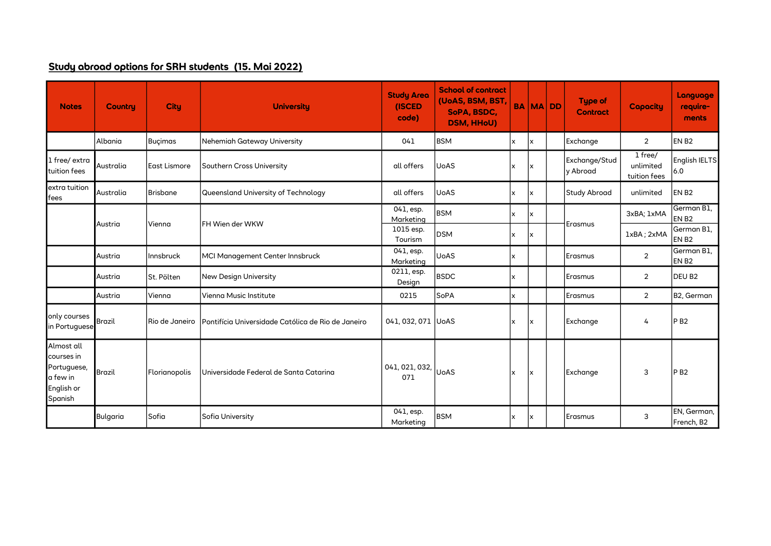## Study abroad options for SRH students (15. Mai 2022)

| <b>Notes</b>                                                                 | <b>Country</b>                        | <b>City</b>         | <b>University</b>                                  | <b>Study Area</b><br>(ISCED<br>code) | <b>School of contract</b><br>(UoAS, BSM, BST,<br>SoPA, BSDC,<br><b>DSM, HHoU)</b> |                           |     | <b>BA MA DD</b> | Type of<br><b>Contract</b> | <b>Capacity</b>                      | Language<br>require-<br>ments   |
|------------------------------------------------------------------------------|---------------------------------------|---------------------|----------------------------------------------------|--------------------------------------|-----------------------------------------------------------------------------------|---------------------------|-----|-----------------|----------------------------|--------------------------------------|---------------------------------|
|                                                                              | Albania                               | <b>Buçimas</b>      | Nehemiah Gateway University                        | 041                                  | <b>BSM</b>                                                                        | x                         | lx  |                 | Exchange                   | $\overline{2}$                       | EN B <sub>2</sub>               |
| 1 free/ extra<br>tuition fees                                                | Australia                             | <b>East Lismore</b> | Southern Cross University                          | all offers                           | <b>UoAS</b>                                                                       | X                         | Ιx  |                 | Exchange/Stud<br>v Abroad  | 1 free/<br>unlimited<br>tuition fees | English IELTS<br>6.0            |
| extra tuition<br>fees                                                        | Australia                             | <b>Brisbane</b>     | Queensland University of Technology                | all offers                           | <b>UoAS</b>                                                                       | X                         | lx. |                 | <b>Study Abroad</b>        | unlimited                            | EN <sub>B2</sub>                |
|                                                                              |                                       |                     |                                                    | 041, esp.<br>Marketing               | <b>BSM</b>                                                                        | x                         | Ιx  |                 |                            | 3xBA; 1xMA                           | German B1,<br>EN B <sub>2</sub> |
|                                                                              | Austria                               | Vienna              | FH Wien der WKW                                    | 1015 esp.<br>Tourism                 | <b>DSM</b>                                                                        | x                         | x   |                 | Erasmus                    | 1xBA; 2xMA                           | German B1,<br>EN B <sub>2</sub> |
|                                                                              | Austria                               | Innsbruck           | MCI Management Center Innsbruck<br>Marketing       |                                      | <b>UoAS</b>                                                                       | X                         |     |                 | Erasmus                    | $\overline{2}$                       | German B1,<br>EN B <sub>2</sub> |
|                                                                              | Austria                               | St. Pölten          | <b>New Design University</b>                       | 0211, esp.<br>Design                 | <b>BSDC</b>                                                                       | $\boldsymbol{\mathsf{x}}$ |     |                 | Erasmus                    | $\overline{2}$                       | DEU B <sub>2</sub>              |
|                                                                              | Austria                               | Vienna              | Vienna Music Institute                             | 0215                                 | SoPA                                                                              | x                         |     |                 | Erasmus                    | $\overline{2}$                       | B2, German                      |
| only courses<br>in Portuguese                                                | <b>Brazil</b>                         | Rio de Janeiro      | Pontifícia Universidade Católica de Rio de Janeiro | 041, 032, 071 UoAS                   |                                                                                   | $\mathsf{x}$              | Ιx  |                 | Exchange                   | 4                                    | <b>PB2</b>                      |
| Almost all<br>courses in<br>Portuguese,<br>a few in<br>English or<br>Spanish | <b>Brazil</b>                         | Florianopolis       | Universidade Federal de Santa Catarina             | 041, 021, 032,<br>071                | <b>UoAS</b>                                                                       | x                         | Ιx  |                 | Exchange                   | 3                                    | P <sub>B2</sub>                 |
|                                                                              | Sofia<br>Bulgaria<br>Sofia University |                     | 041, esp.<br>Marketing                             | <b>BSM</b>                           | x                                                                                 | lx.                       |     | Erasmus         | 3                          | EN, German,<br>French, B2            |                                 |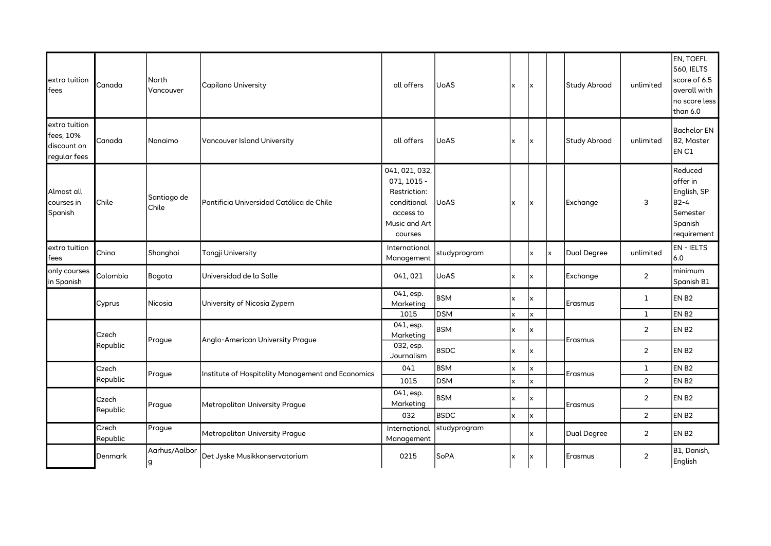| extra tuition<br>fees                                     | Canada            | North<br>Vancouver   | <b>Capilano University</b>                        | all offers                                                                                            | <b>UoAS</b>              | x      | Ιx             |   | Study Abroad        | unlimited                    | EN, TOEFL<br><b>560, IELTS</b><br>score of 6.5<br>overall with<br>no score less<br>than 6.0 |
|-----------------------------------------------------------|-------------------|----------------------|---------------------------------------------------|-------------------------------------------------------------------------------------------------------|--------------------------|--------|----------------|---|---------------------|------------------------------|---------------------------------------------------------------------------------------------|
| extra tuition<br>fees, 10%<br>discount on<br>regular fees | Canada            | Nanaimo              | Vancouver Island University                       | all offers                                                                                            | <b>UoAS</b>              | x      | x              |   | <b>Study Abroad</b> | unlimited                    | <b>Bachelor EN</b><br>B2, Master<br>EN C1                                                   |
| Almost all<br>courses in<br>Spanish                       | Chile             | Santiago de<br>Chile | Pontificia Universidad Católica de Chile          | 041, 021, 032,<br>071, 1015 -<br>Restriction:<br>conditional<br>access to<br>Music and Art<br>courses | <b>UoAS</b>              | x      | Ιx             |   | Exchange            | 3                            | Reduced<br>offer in<br>English, SP<br>$B2-4$<br>Semester<br>Spanish<br>requirement          |
| extra tuition<br>fees                                     | China             | Shanghai             | Tongji University                                 | International<br>Management                                                                           | studyprogram             |        | x              | x | Dual Degree         | unlimited                    | <b>EN-IELTS</b><br>6.0                                                                      |
| only courses<br>in Spanish                                | Colombia          | Bogota               | Universidad de la Salle                           | 041,021                                                                                               | <b>UoAS</b>              | x      | x              |   | Exchange            | $\sqrt{2}$                   | minimum<br>Spanish B1                                                                       |
|                                                           | Cyprus            | Nicosia              | University of Nicosia Zypern                      | $041$ , esp.<br>Marketing<br>1015                                                                     | <b>BSM</b><br><b>DSM</b> | x<br>x | x<br>x         |   | Erasmus             | $\mathbf{I}$<br>$\mathbf{1}$ | EN <sub>B2</sub><br>EN <sub>B2</sub>                                                        |
|                                                           | Czech             | Prague               | Anglo-American University Prague                  | 041, esp.<br>Marketing                                                                                | <b>BSM</b>               | x      | x              |   | Erasmus             | $\overline{2}$               | EN B <sub>2</sub>                                                                           |
|                                                           | Republic          |                      |                                                   | 032, esp.<br>Journalism                                                                               | <b>BSDC</b>              | x      | x              |   |                     | $\overline{2}$               | EN <sub>B2</sub>                                                                            |
|                                                           | Czech             | Prague               | Institute of Hospitality Management and Economics | 041                                                                                                   | <b>BSM</b>               | x      | $\pmb{\times}$ |   | Erasmus             | $\mathbf{1}$                 | EN <sub>B2</sub>                                                                            |
|                                                           | Republic          |                      | 1015<br>041, esp.                                 | <b>DSM</b>                                                                                            | x                        | x      |                |   | $\overline{2}$      | EN <sub>B2</sub>             |                                                                                             |
|                                                           | Czech<br>Republic | Prague               | Metropolitan University Prague                    |                                                                                                       | <b>BSM</b>               | x      | X              |   | Erasmus             | $\overline{2}$               | EN <sub>B2</sub>                                                                            |
|                                                           |                   |                      |                                                   | 032                                                                                                   | <b>BSDC</b>              | x      | x              |   |                     | $\overline{2}$               | EN B <sub>2</sub>                                                                           |
|                                                           | Czech<br>Republic | Prague               | Metropolitan University Prague                    | International<br>Management                                                                           | studyprogram             |        | x              |   | Dual Degree         | $\overline{2}$               | EN <sub>B2</sub>                                                                            |
|                                                           | Denmark           | Aarhus/Aalbor<br>lg. | Det Jyske Musikkonservatorium                     | 0215                                                                                                  | SoPA                     | x      | Ιx             |   | Erasmus             | $\overline{2}$               | B1, Danish,<br>English                                                                      |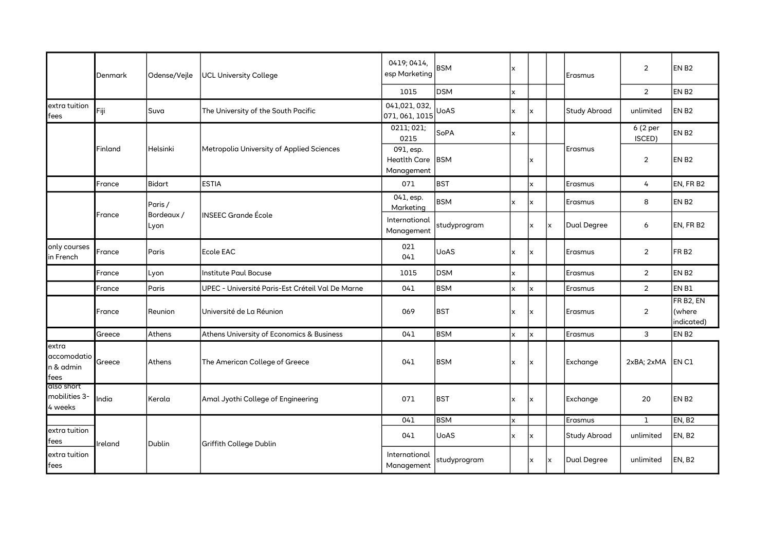|                                           | Denmark | Odense/Vejle       | <b>UCL University College</b>                    | 0419; 0414,<br>esp Marketing                   | <b>BSM</b>   | x            |                         |          | Erasmus             | $\overline{2}$           | EN <sub>B2</sub>                               |
|-------------------------------------------|---------|--------------------|--------------------------------------------------|------------------------------------------------|--------------|--------------|-------------------------|----------|---------------------|--------------------------|------------------------------------------------|
|                                           |         |                    |                                                  | 1015                                           | <b>DSM</b>   | x            |                         |          |                     | $\overline{2}$           | EN <sub>B2</sub>                               |
| extra tuition<br>fees                     | Fiji    | Suva               | The University of the South Pacific              | 041,021,032,<br>071, 061, 1015                 | <b>UoAS</b>  | X            | lx.                     |          | <b>Study Abroad</b> | unlimited                | EN <sub>B2</sub>                               |
|                                           |         |                    |                                                  | $\overline{0211}$ ; 021;<br>0215               | SoPA         | X            |                         |          |                     | 6 (2 per<br>ISCED)       | EN <sub>B2</sub>                               |
|                                           | Finland | Helsinki           | Metropolia University of Applied Sciences        | 091, esp.<br><b>Heatlth Care</b><br>Management | <b>BSM</b>   |              | x                       |          | Erasmus             | $\overline{2}$           | EN <sub>B2</sub>                               |
|                                           | France  | <b>Bidart</b>      | <b>ESTIA</b>                                     | 071                                            | BST          |              | x                       |          | Erasmus             | 4                        | EN, FR B2                                      |
|                                           |         | Paris /            |                                                  | 041, esp.<br>Marketing                         | <b>BSM</b>   | x            | X                       |          | Erasmus             | 8                        | EN <sub>B2</sub>                               |
|                                           | France  | Bordeaux /<br>Lyon | <b>INSEEC Grande École</b>                       | International<br>Management                    | studyprogram |              | $\mathsf{x}$            | lx.      | Dual Degree         | 6                        | EN, FR B2                                      |
| only courses<br>in French                 | France  | Paris              | Ecole EAC                                        | 021<br>041                                     | <b>UoAS</b>  | $\times$     | lx.                     |          | Erasmus             | $\overline{2}$           | FR <sub>B2</sub>                               |
|                                           | France  | Lyon               | Institute Paul Bocuse                            | 1015                                           | <b>DSM</b>   | x            |                         |          | Erasmus             | $\overline{2}$           | EN <sub>B2</sub>                               |
|                                           | France  | Paris              | UPEC - Université Paris-Est Créteil Val De Marne | 041                                            | <b>BSM</b>   | x            | $\overline{\mathsf{x}}$ |          | Erasmus             | $\overline{2}$           | EN B1                                          |
|                                           | France  | Reunion            | Université de La Réunion                         | 069                                            | Ibst         | X            | Ιx                      |          | Erasmus             | $\overline{2}$           | FR B <sub>2</sub> , EN<br>(where<br>indicated) |
|                                           | Greece  | <b>Athens</b>      | Athens University of Economics & Business        | 041                                            | <b>BSM</b>   | $\mathsf{x}$ | $\mathsf{x}$            |          | Erasmus             | 3                        | EN <sub>B2</sub>                               |
| extra<br>accomodatio<br>n & admin<br>fees | Greece  | Athens             | The American College of Greece                   | 041                                            | <b>BSM</b>   | x            | Ιx                      |          | Exchange            | $2xBA$ ; $2xMA$ $ EN C1$ |                                                |
| also short<br>mobilities 3-<br>4 weeks    | India   | Kerala             | Amal Jyothi College of Engineering               | 071                                            | BST          | $\times$     | lx.                     |          | Exchange            | 20                       | EN <sub>B2</sub>                               |
|                                           |         |                    |                                                  | 041                                            | <b>BSM</b>   | x            |                         |          | Erasmus             | $\mathbf{1}$             | EN, B <sub>2</sub>                             |
| extra tuition<br>fees                     | Ireland | Dublin             | Griffith College Dublin                          | 041                                            | <b>UoAS</b>  | x            | lx.                     |          | <b>Study Abroad</b> | unlimited                | EN, B <sub>2</sub>                             |
| extra tuition<br>fees                     |         |                    |                                                  | International<br>Management                    | studyprogram |              | x                       | <b>x</b> | Dual Degree         | unlimited                | EN, B <sub>2</sub>                             |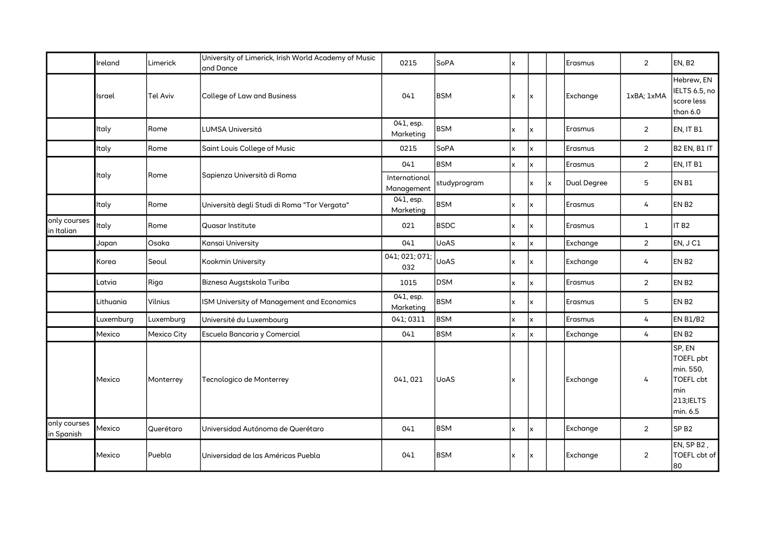|                            | Ireland                                       | Limerick           | University of Limerick, Irish World Academy of Music<br>and Dance | 0215                        | SoPA         | lx.          |              |          | Erasmus            | $\overline{2}$    | EN, B <sub>2</sub>                                                             |
|----------------------------|-----------------------------------------------|--------------------|-------------------------------------------------------------------|-----------------------------|--------------|--------------|--------------|----------|--------------------|-------------------|--------------------------------------------------------------------------------|
|                            | Israel                                        | <b>Tel Aviv</b>    | College of Law and Business                                       | 041                         | <b>BSM</b>   | x            | lx           |          | Exchange           | 1xBA; 1xMA        | Hebrew, EN<br>IELTS 6.5, no<br>score less<br>than 6.0                          |
|                            | Italy                                         | Rome               | <b>LUMSA Universitá</b>                                           | 041, esp.<br>Marketing      | <b>BSM</b>   | lx.          | lx           |          | Erasmus            | $\overline{2}$    | EN, IT B1                                                                      |
|                            | Rome<br>Saint Louis College of Music<br>Italy |                    | 0215                                                              | SoPA                        | lx.          | lx.          |              | Erasmus  | $\overline{2}$     | B2 EN, B1 IT      |                                                                                |
|                            |                                               |                    |                                                                   | 041                         | <b>BSM</b>   | x            | x            |          | Erasmus            | $\overline{2}$    | EN, IT B1                                                                      |
|                            | Italy                                         | Rome               | Sapienza Università di Roma                                       | International<br>Management | studyprogram |              | X            | lx.      | <b>Dual Degree</b> | 5                 | EN B1                                                                          |
|                            | Italy                                         | Rome               | Università degli Studi di Roma "Tor Vergata"                      | 041, esp.<br>Marketing      | <b>BSM</b>   | x            | lx.          |          | Erasmus            | 4                 | EN B <sub>2</sub>                                                              |
| only courses<br>in Italian | Italy                                         | Rome               | <b>Quasar Institute</b>                                           | 021                         | <b>BSDC</b>  | lx.          | lx           |          | Erasmus            | $\mathbf{1}$      | IT <sub>B2</sub>                                                               |
|                            | Japan                                         | Osaka              | Kansai University                                                 | 041                         | <b>UoAS</b>  | $\mathsf{x}$ | x            |          | Exchange           | $\overline{2}$    | EN, J C1                                                                       |
| Korea                      | Seoul                                         | Kookmin University | 041; 021; 071;<br>032                                             | <b>UoAS</b>                 | lx.          | lx           |              | Exchange | 4                  | EN B <sub>2</sub> |                                                                                |
|                            | Latvia                                        | Riga               | Biznesa Augstskola Turiba                                         | 1015                        | <b>DSM</b>   | x            | lx.          |          | Erasmus            | $\overline{2}$    | EN <sub>B2</sub>                                                               |
|                            | Lithuania                                     | Vilnius            | ISM University of Management and Economics                        | $041$ , esp.<br>Marketing   | <b>BSM</b>   | x            | x            |          | Erasmus            | 5                 | EN B <sub>2</sub>                                                              |
|                            | Luxemburg                                     | Luxemburg          | Université du Luxembourg                                          | 041; 0311                   | <b>BSM</b>   | x            | x            |          | Erasmus            | 4                 | EN B1/B2                                                                       |
|                            | Mexico                                        | Mexico City        | Escuela Bancaria y Comercial                                      | 041                         | <b>BSM</b>   | $\mathsf{x}$ | $\mathsf{x}$ |          | Exchange           | 4                 | EN B <sub>2</sub>                                                              |
|                            | Mexico                                        | Monterrey          | Tecnologico de Monterrey                                          | 041,021                     | <b>UoAS</b>  | x            |              |          | Exchange           | 4                 | SP, EN<br>TOEFL pbt<br>min. 550,<br>TOEFL cbt<br>min<br>213; IELTS<br>min. 6.5 |
| only courses<br>in Spanish | Mexico                                        | Querétaro          | Universidad Autónoma de Querétaro                                 | 041                         | <b>BSM</b>   | x            | lx           |          | Exchange           | $\overline{2}$    | SP <sub>B2</sub>                                                               |
|                            | Mexico                                        | Puebla             | Universidad de las Américas Puebla                                | 041                         | <b>BSM</b>   | X            | Ιx           |          | Exchange           | $\overline{2}$    | EN, SP B <sub>2</sub> ,<br>TOEFL cbt of<br>80                                  |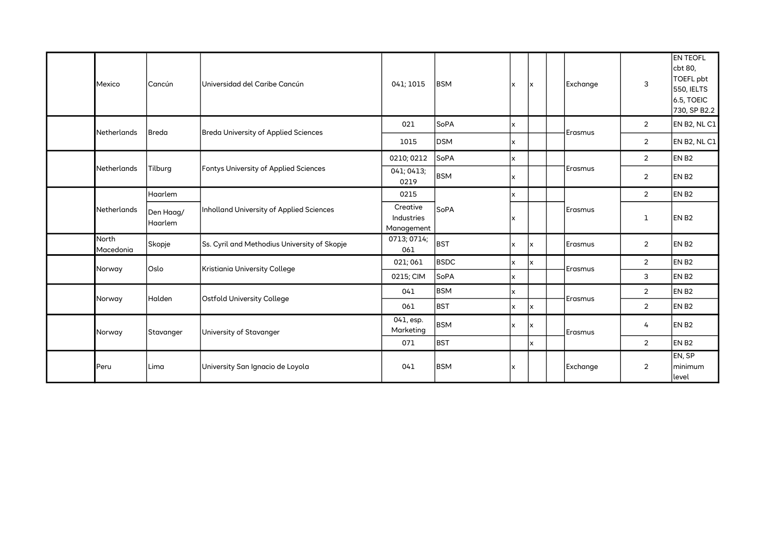|  | Mexico                    | Cancún               | Universidad del Caribe Cancún                | 041; 1015                            | <b>BSM</b>  | $\boldsymbol{\mathsf{x}}$ | Ιx | Exchange        | 3              | <b>EN TEOFL</b><br>cbt 80,<br>TOEFL pbt<br>550, IELTS<br>6.5, TOEIC<br>730, SP B2.2 |
|--|---------------------------|----------------------|----------------------------------------------|--------------------------------------|-------------|---------------------------|----|-----------------|----------------|-------------------------------------------------------------------------------------|
|  | Netherlands               | Breda                | <b>Breda University of Applied Sciences</b>  | 021                                  | SoPA        | X                         |    | Erasmus         | $\overline{2}$ | EN B2, NL C1                                                                        |
|  |                           |                      |                                              | 1015                                 | <b>DSM</b>  | x                         |    |                 | $\overline{2}$ | EN B2, NL C1                                                                        |
|  |                           |                      |                                              | 0210; 0212                           | SoPA        | x                         |    |                 | 2              | EN <sub>B2</sub>                                                                    |
|  | Netherlands               | Tilburg              | Fontys University of Applied Sciences        | 041; 0413;<br>0219                   | <b>BSM</b>  | X                         |    | Erasmus         | $\overline{2}$ | EN <sub>B2</sub>                                                                    |
|  | Netherlands               | Haarlem              |                                              | 0215                                 |             | $\mathsf{x}$              |    |                 | 2              | EN <sub>B2</sub>                                                                    |
|  |                           | Den Haag/<br>Haarlem | Inholland University of Applied Sciences     | Creative<br>Industries<br>Management | SoPA        | $\boldsymbol{\mathsf{x}}$ |    | Erasmus         | 1              | EN <sub>B2</sub>                                                                    |
|  | <b>North</b><br>Macedonia | Skopje               | Ss. Cyril and Methodius University of Skopje | 0713; 0714;<br>061                   | <b>BST</b>  | X                         | x  | Erasmus         | $\overline{2}$ | EN B <sub>2</sub>                                                                   |
|  | Norway                    | Oslo                 | Kristiania University College                | 021; 061                             | <b>BSDC</b> | X                         | x  | Erasmus         | $\overline{2}$ | EN B <sub>2</sub>                                                                   |
|  |                           |                      |                                              | 0215; CIM                            | SoPA        | x                         |    |                 | 3              | EN B <sub>2</sub>                                                                   |
|  | Norway                    | Halden               | <b>Ostfold University College</b>            | 041                                  | <b>BSM</b>  | X                         |    | Erasmus         | 2              | EN <sub>B2</sub>                                                                    |
|  |                           |                      |                                              | 061                                  | <b>BST</b>  | $\boldsymbol{\mathsf{x}}$ | Ιx |                 | $\overline{2}$ | EN <sub>B2</sub>                                                                    |
|  | Norway                    | Stavanger            | University of Stavanger                      | 041, esp.<br>Marketing               | <b>BSM</b>  | X                         | x  | <b>IErasmus</b> | 4              | EN <sub>B2</sub>                                                                    |
|  |                           |                      |                                              | 071                                  | <b>BST</b>  |                           | x  |                 | $\overline{2}$ | EN <sub>B2</sub>                                                                    |
|  | Peru                      | Lima                 | University San Ignacio de Loyola             | 041                                  | <b>BSM</b>  | X                         |    | Exchange        | $\overline{2}$ | EN, SP<br>Iminimum<br>level                                                         |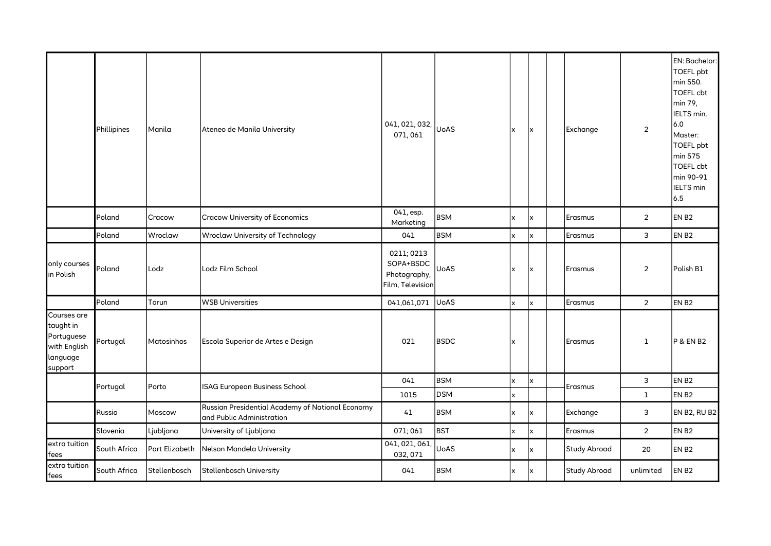|                                                                               | Phillipines  | Manila         | Ateneo de Manila University                                                   | 041, 021, 032,<br>071,061                                   | <b>UoAS</b> | X | Ιx  | Exchange            | $\overline{2}$ | EN: Bachelor:<br><b>TOEFL pbt</b><br>min 550.<br><b>TOEFL cbt</b><br>min 79,<br>IELTS min.<br>6.0<br>Master:<br>TOEFL pbt<br>min 575<br><b>TOEFL cbt</b><br>min 90-91<br><b>IELTS</b> min<br>6.5 |
|-------------------------------------------------------------------------------|--------------|----------------|-------------------------------------------------------------------------------|-------------------------------------------------------------|-------------|---|-----|---------------------|----------------|--------------------------------------------------------------------------------------------------------------------------------------------------------------------------------------------------|
|                                                                               | Poland       | Cracow         | <b>Cracow University of Economics</b>                                         | 041, esp.<br>Marketing                                      | <b>BSM</b>  | x | x   | Erasmus             | $\overline{2}$ | EN B <sub>2</sub>                                                                                                                                                                                |
|                                                                               | Poland       | Wroclaw        | <b>Wroclaw University of Technology</b>                                       | 041                                                         | <b>BSM</b>  | x | x   | Erasmus             | 3              | EN B <sub>2</sub>                                                                                                                                                                                |
| only courses<br>in Polish                                                     | Poland       | Lodz           | Lodz Film School                                                              | 0211; 0213<br>SOPA+BSDC<br>Photography,<br>Film, Television | <b>UoAS</b> | x | Ιx  | Erasmus             | $\overline{2}$ | Polish B1                                                                                                                                                                                        |
|                                                                               | Poland       | Torun          | <b>WSB Universities</b>                                                       | 041,061,071                                                 | <b>UoAS</b> | X | x   | Erasmus             | $\overline{2}$ | EN B <sub>2</sub>                                                                                                                                                                                |
| Courses are<br>taught in<br>Portuguese<br>with English<br>language<br>support | Portugal     | Matosinhos     | Escola Superior de Artes e Design                                             | 021                                                         | <b>BSDC</b> | x |     | Erasmus             | $\mathbf 1$    | <b>P &amp; EN B2</b>                                                                                                                                                                             |
|                                                                               | Portugal     | Porto          | ISAG European Business School                                                 | 041                                                         | <b>BSM</b>  | x | x   | Erasmus             | 3              | EN B <sub>2</sub>                                                                                                                                                                                |
|                                                                               |              |                |                                                                               | 1015                                                        | <b>DSM</b>  | x |     |                     | $\mathbf{1}$   | EN B <sub>2</sub>                                                                                                                                                                                |
|                                                                               | Russia       | Moscow         | Russian Presidential Academy of National Economy<br>and Public Administration | 41                                                          | <b>BSM</b>  | x | x   | <b>Exchange</b>     | 3              | <b>EN B2, RU B2</b>                                                                                                                                                                              |
|                                                                               | Slovenia     | Ljubljana      | University of Ljubljana                                                       | 071; 061                                                    | <b>BST</b>  | x | X   | Erasmus             | $\overline{2}$ | EN B <sub>2</sub>                                                                                                                                                                                |
| extra tuition<br>fees                                                         | South Africa | Port Elizabeth | Nelson Mandela University                                                     | 041, 021, 061,<br>032, 071                                  | <b>UoAS</b> | x | lx. | <b>Study Abroad</b> | 20             | EN B <sub>2</sub>                                                                                                                                                                                |
| extra tuition<br>fees                                                         | South Africa | Stellenbosch   | Stellenbosch University                                                       | 041                                                         | <b>BSM</b>  | X | lx. | Study Abroad        | unlimited      | EN <sub>B2</sub>                                                                                                                                                                                 |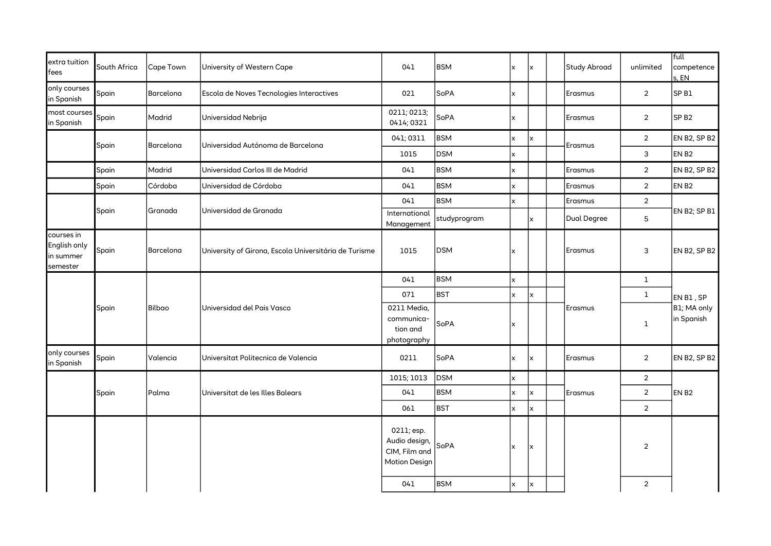| extra tuition<br>fees                               | South Africa | Cape Town     | University of Western Cape                            | 041                                                           | BSM          | x            | Ιx | Study Abroad | unlimited       | full<br>competence<br>s, EN            |
|-----------------------------------------------------|--------------|---------------|-------------------------------------------------------|---------------------------------------------------------------|--------------|--------------|----|--------------|-----------------|----------------------------------------|
| only courses<br>in Spanish                          | Spain        | Barcelona     | Escola de Noves Tecnologies Interactives              | 021                                                           | SoPA         | x            |    | Erasmus      | $\overline{2}$  | SP <sub>B1</sub>                       |
| most courses<br>in Spanish                          | Spain        | Madrid        | Universidad Nebrija                                   | 0211; 0213;<br>0414; 0321                                     | SoPA         | x            |    | Erasmus      | $\overline{2}$  | SP <sub>B2</sub>                       |
|                                                     |              |               | Universidad Autónoma de Barcelona                     | 041; 0311                                                     | <b>BSM</b>   | x            | x  |              | $\overline{2}$  | <b>EN B2, SP B2</b>                    |
|                                                     | Spain        | Barcelona     |                                                       | 1015                                                          | <b>DSM</b>   | x            |    | Erasmus      | $\mathbf{3}$    | EN <sub>B2</sub>                       |
|                                                     | Spain        | Madrid        | Universidad Carlos III de Madrid                      | 041                                                           | <b>BSM</b>   | x            |    | Erasmus      | $\overline{2}$  | EN B2, SP B2                           |
|                                                     | Spain        | Córdoba       | Universidad de Córdoba                                | 041                                                           | <b>BSM</b>   | x            |    | Erasmus      | $\overline{2}$  | EN B <sub>2</sub>                      |
|                                                     |              |               |                                                       | 041                                                           | <b>BSM</b>   | $\mathsf{x}$ |    | Erasmus      | $\overline{2}$  |                                        |
|                                                     | Spain        | Granada       | Universidad de Granada                                | International<br>Management                                   | studyprogram |              | x  | Dual Degree  | $5\phantom{.0}$ | EN B2; SP B1                           |
| courses in<br>English only<br>in summer<br>semester | Spain        | Barcelona     | University of Girona, Escola Universitária de Turisme | 1015                                                          | DSM          | x            |    | Erasmus      | 3               | EN B2, SP B2                           |
|                                                     |              |               | Universidad del Pais Vasco                            | 041                                                           | <b>BSM</b>   | x            |    |              | $\mathbf{1}$    |                                        |
|                                                     |              | <b>Bilbao</b> |                                                       | 071                                                           | <b>BST</b>   | x            | x  |              | $\mathbf{1}$    | EN B1, SP<br>B1; MA only<br>in Spanish |
|                                                     | Spain        |               |                                                       | 0211 Media,<br>communica-<br>tion and<br>photography          | SoPA         | $\mathsf{x}$ |    | Erasmus      | $\mathbf 1$     |                                        |
| only courses<br>in Spanish                          | Spain        | Valencia      | Universitat Politecnica de Valencia                   | 0211                                                          | SoPA         | $\mathsf{x}$ | Ιx | Erasmus      | $\overline{2}$  | EN B2, SP B2                           |
|                                                     |              |               |                                                       | 1015; 1013                                                    | <b>DSM</b>   | x            |    |              | $\overline{2}$  |                                        |
|                                                     | Spain        | Palma         | Universitat de les Illes Balears                      | 041                                                           | <b>BSM</b>   | x            | x  | Erasmus      | $\overline{2}$  | EN <sub>B2</sub>                       |
|                                                     |              |               |                                                       | 061                                                           | <b>BST</b>   | x            | x  |              | $\overline{2}$  |                                        |
|                                                     |              |               |                                                       | 0211; esp.<br>Audio design,<br>CIM, Film and<br>Motion Design | SoPA         | X            | x  |              | $\overline{2}$  |                                        |
|                                                     |              |               |                                                       | 041                                                           | <b>BSM</b>   | x            | x  |              | $\overline{2}$  |                                        |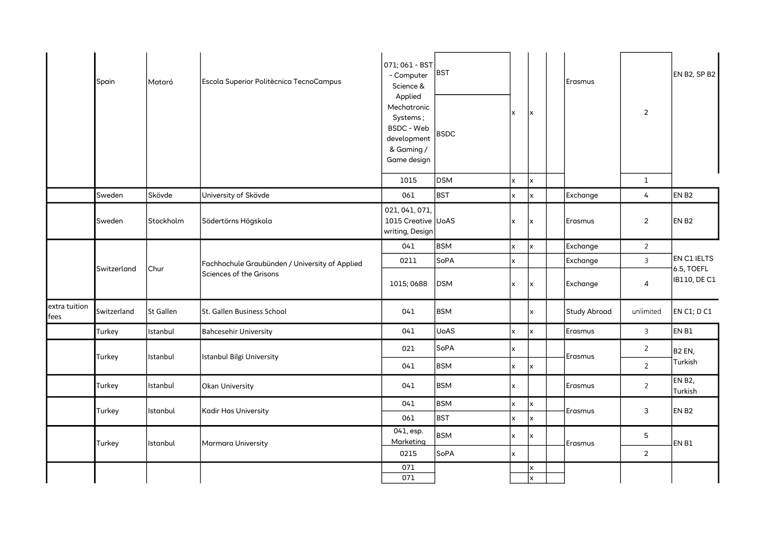|                       | Spain               | Mataró    | Escola Superior Politècnica TecnoCampus                                   | 071; 061 - BST<br>- Computer<br>Science &<br>Applied<br>Mechatronic<br>Systems;<br>BSDC - Web<br>development<br>& Gaming /<br>Game design | <b>BST</b><br><b>BSDC</b> | $\mathsf{x}$ | x            | Erasmus         | $\overline{2}$ | EN B2, SP B2              |
|-----------------------|---------------------|-----------|---------------------------------------------------------------------------|-------------------------------------------------------------------------------------------------------------------------------------------|---------------------------|--------------|--------------|-----------------|----------------|---------------------------|
|                       |                     |           |                                                                           | 1015                                                                                                                                      | <b>DSM</b>                | x            | x            |                 | $\mathbf{1}$   |                           |
|                       | Sweden              | Skövde    | University of Skövde                                                      | 061                                                                                                                                       | <b>BST</b>                | x            | $\mathsf{x}$ | Exchange        | $\overline{4}$ | EN B <sub>2</sub>         |
|                       | Sweden              | Stockholm | Södertörns Högskola                                                       | 021, 041, 071,<br>1015 Creative UoAS<br>writing, Design                                                                                   |                           | $\mathsf{x}$ | X            | Erasmus         | $\overline{2}$ | EN B <sub>2</sub>         |
|                       |                     |           |                                                                           | 041                                                                                                                                       | <b>BSM</b>                | $\mathsf{x}$ | x            | <b>Exchange</b> | $\overline{2}$ |                           |
|                       |                     |           | Fachhochule Graubünden / University of Applied<br>Sciences of the Grisons | 0211                                                                                                                                      | SoPA                      | $\mathsf{x}$ |              | <b>Exchange</b> | $\overline{3}$ | EN C1 IELTS<br>6.5, TOEFL |
|                       | Switzerland<br>Chur |           |                                                                           | 1015; 0688                                                                                                                                | <b>DSM</b>                | X            | X            | Exchange        | $\overline{4}$ | <b>IB110, DE C1</b>       |
| extra tuition<br>fees | Switzerland         | St Gallen | St. Gallen Business School                                                | 041                                                                                                                                       | <b>BSM</b>                |              | x            | Study Abroad    | unlimited      | EN C1; D C1               |
|                       | Turkey              | Istanbul  | <b>Bahcesehir University</b>                                              | 041                                                                                                                                       | <b>UoAS</b>               | X            | $\mathsf{x}$ | Erasmus         | $\overline{3}$ | EN B1                     |
|                       |                     |           |                                                                           | 021                                                                                                                                       | SoPA                      | $\mathsf{x}$ |              |                 | $\overline{2}$ | B <sub>2</sub> EN,        |
|                       | Turkey              | Istanbul  | Istanbul Bilgi University                                                 | 041                                                                                                                                       | <b>BSM</b>                | X            | x            | Erasmus         | $\overline{2}$ | Turkish                   |
|                       | Turkey              | Istanbul  | Okan University                                                           | 041                                                                                                                                       | <b>BSM</b>                | $\mathsf{x}$ |              | <b>Erasmus</b>  | $\overline{2}$ | <b>EN B2,</b><br>Turkish  |
|                       | Turkey              | Istanbul  | <b>Kadir Has University</b>                                               | 041                                                                                                                                       | <b>BSM</b>                | $\mathsf{x}$ | x            | Erasmus         | 3              | EN B <sub>2</sub>         |
|                       |                     |           |                                                                           | 061                                                                                                                                       | <b>BST</b>                | $\mathsf{x}$ | x            |                 |                |                           |
|                       | Turkey              | Istanbul  | Marmara University                                                        | 041, esp.<br>Marketing                                                                                                                    | <b>BSM</b>                | x            | x            | Erasmus         | 5              | EN B1                     |
|                       |                     |           |                                                                           | 0215                                                                                                                                      | SoPA                      | $\mathsf{x}$ |              |                 | $\overline{2}$ |                           |
|                       |                     |           |                                                                           | 071                                                                                                                                       |                           |              | x            |                 |                |                           |
|                       |                     |           |                                                                           | 071                                                                                                                                       |                           |              | x            |                 |                |                           |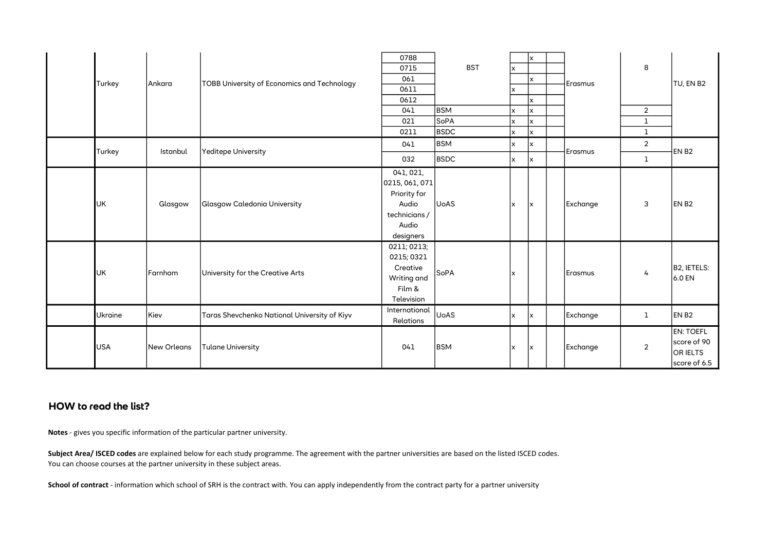|            |                    |                                              | 0788                                                                                                                                 |             |              | x   |          |                |                                                             |
|------------|--------------------|----------------------------------------------|--------------------------------------------------------------------------------------------------------------------------------------|-------------|--------------|-----|----------|----------------|-------------------------------------------------------------|
|            |                    |                                              | 0715                                                                                                                                 | <b>BST</b>  | x            |     |          | 8              |                                                             |
| Turkey     | Ankara             | TOBB University of Economics and Technology  | 061                                                                                                                                  |             |              | x   | Erasmus  |                | TU, EN B2                                                   |
|            |                    |                                              | 0611                                                                                                                                 |             | $\mathsf{x}$ |     |          |                |                                                             |
|            |                    |                                              | 0612                                                                                                                                 |             |              | x   |          |                |                                                             |
|            |                    |                                              | 041                                                                                                                                  | <b>BSM</b>  | x            | x   |          | $\overline{2}$ |                                                             |
|            |                    |                                              | 021                                                                                                                                  | SoPA        | x            | x   |          | $\mathbf{1}$   |                                                             |
|            |                    |                                              | 0211                                                                                                                                 | <b>BSDC</b> | X            | x   |          | $\mathbf{1}$   |                                                             |
| Turkey     | Istanbul           | Yeditepe University                          | 041                                                                                                                                  | <b>BSM</b>  | X            | x   | Erasmus  | $\overline{2}$ | EN B <sub>2</sub>                                           |
|            |                    |                                              | 032                                                                                                                                  | <b>BSDC</b> | $\mathsf{x}$ | lx. |          | $\mathbf{1}$   |                                                             |
| <b>UK</b>  | Glasgow            | <b>Glasgow Caledonia University</b>          | 041, 021,<br>0215, 061, 071<br>Priority for<br>Audio<br>technicians /<br>Audio<br>designers<br>0211; 0213;<br>0215; 0321<br>Creative | <b>UoAS</b> | x            | x   | Exchange | 3              | EN B <sub>2</sub>                                           |
| <b>UK</b>  | Farnham            | University for the Creative Arts             | Writing and<br>Film &<br>Television                                                                                                  | SoPA        | x            |     | Erasmus  | 4              | <b>B2, IETELS:</b><br>6.0 EN                                |
| Ukraine    | Kiev               | Taras Shevchenko National University of Kiyv | International<br>Relations                                                                                                           | <b>UoAS</b> | x            | Ιx  | Exchange | $\mathbf{1}$   | EN <sub>B2</sub>                                            |
| <b>USA</b> | <b>New Orleans</b> | <b>Tulane University</b>                     | 041                                                                                                                                  | <b>BSM</b>  | x            | X   | Exchange | $\overline{2}$ | <b>EN: TOEFL</b><br>score of 90<br>OR IELTS<br>score of 6.5 |

## HOW to read the list?

Notes - gives you specific information of the particular partner university.

You can choose courses at the partner university in these subject areas. Subject Area/ ISCED codes are explained below for each study programme. The agreement with the partner universities are based on the listed ISCED codes.

School of contract - information which school of SRH is the contract with. You can apply independently from the contract party for a partner university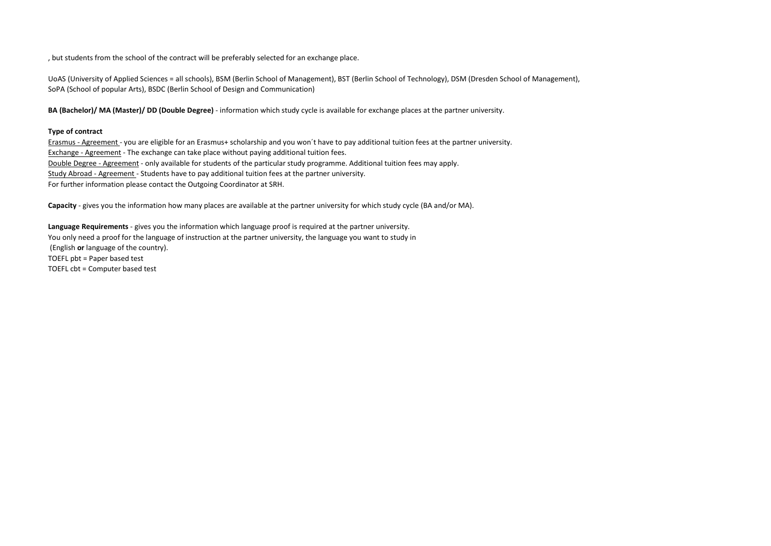, but students from the school of the contract will be preferably selected for an exchange place.

UoAS (University of Applied Sciences = all schools), BSM (Berlin School of Management), BST (Berlin School of Technology), DSM (Dresden School of Management), SoPA (School of popular Arts), BSDC (Berlin School of Design and Communication)

BA (Bachelor)/ MA (Master)/ DD (Double Degree) - information which study cycle is available for exchange places at the partner university.

## Type of contract

Erasmus - Agreement - you are eligible for an Erasmus+ scholarship and you won´t have to pay additional tuition fees at the partner university. Exchange - Agreement - The exchange can take place without paying additional tuition fees. Double Degree - Agreement - only available for students of the particular study programme. Additional tuition fees may apply. Study Abroad - Agreement - Students have to pay additional tuition fees at the partner university. For further information please contact the Outgoing Coordinator at SRH.

Capacity - gives you the information how many places are available at the partner university for which study cycle (BA and/or MA).

You only need a proof for the language of instruction at the partner university, the language you want to study in (English or language of the country). TOEFL pbt = Paper based test TOEFL cbt = Computer based test Language Requirements - gives you the information which language proof is required at the partner university.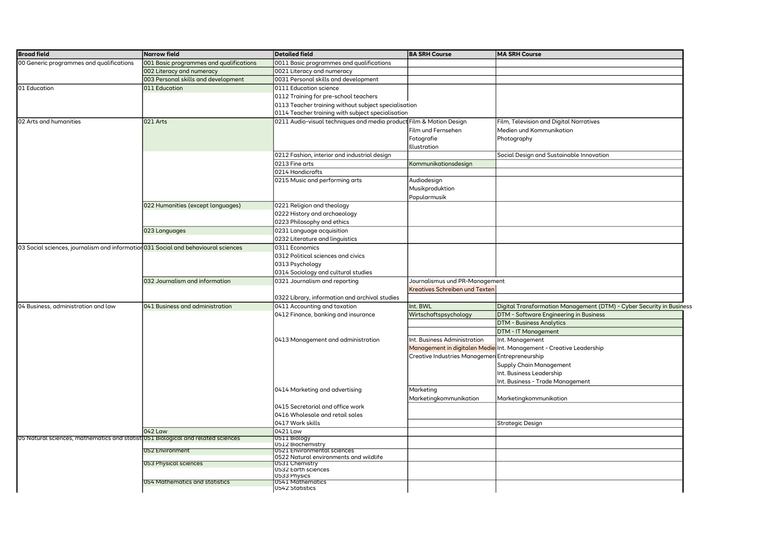| <b>Broad field</b>                                                                 | Narrow field                            | <b>Detailed field</b>                                               | <b>BA SRH Course</b>                           | <b>MA SRH Course</b>                                                              |
|------------------------------------------------------------------------------------|-----------------------------------------|---------------------------------------------------------------------|------------------------------------------------|-----------------------------------------------------------------------------------|
| 00 Generic programmes and qualifications                                           | 001 Basic programmes and qualifications | 0011 Basic programmes and qualifications                            |                                                |                                                                                   |
|                                                                                    | 002 Literacy and numeracy               | 0021 Literacy and numeracy                                          |                                                |                                                                                   |
|                                                                                    | 003 Personal skills and development     | 0031 Personal skills and development                                |                                                |                                                                                   |
| 01 Education                                                                       | 011 Education                           | 0111 Education science                                              |                                                |                                                                                   |
|                                                                                    |                                         | 0112 Training for pre-school teachers                               |                                                |                                                                                   |
|                                                                                    |                                         | 0113 Teacher training without subject specialisation                |                                                |                                                                                   |
|                                                                                    |                                         | 0114 Teacher training with subject specialisation                   |                                                |                                                                                   |
| 02 Arts and humanities                                                             | 021 Arts                                | 0211 Audio-visual techniques and media product Film & Motion Design |                                                | Film, Television and Digital Narratives                                           |
|                                                                                    |                                         |                                                                     | Film und Fernsehen                             | Medien und Kommunikation                                                          |
|                                                                                    |                                         |                                                                     | Fotografie                                     | Photography                                                                       |
|                                                                                    |                                         |                                                                     | llustration                                    |                                                                                   |
|                                                                                    |                                         | 0212 Fashion, interior and industrial design                        |                                                | Social Design and Sustainable Innovation                                          |
|                                                                                    |                                         | 0213 Fine arts                                                      | <br><b>Communikationsdesign</b>                |                                                                                   |
|                                                                                    |                                         | 0214 Handicrafts                                                    |                                                |                                                                                   |
|                                                                                    |                                         | 0215 Music and performing arts                                      | Audiodesign                                    |                                                                                   |
|                                                                                    |                                         |                                                                     | Musikproduktion                                |                                                                                   |
|                                                                                    |                                         |                                                                     | Popularmusik                                   |                                                                                   |
|                                                                                    | 022 Humanities (except languages)       | 0221 Religion and theology                                          |                                                |                                                                                   |
|                                                                                    |                                         | 0222 History and archaeology                                        |                                                |                                                                                   |
|                                                                                    |                                         | 0223 Philosophy and ethics                                          |                                                |                                                                                   |
|                                                                                    | 023 Languages                           | 0231 Language acquisition                                           |                                                |                                                                                   |
|                                                                                    |                                         | 0232 Literature and linguistics                                     |                                                |                                                                                   |
| 03 Social sciences, journalism and information 031 Social and behavioural sciences |                                         | 0311 Economics                                                      |                                                |                                                                                   |
|                                                                                    |                                         | 0312 Political sciences and civics                                  |                                                |                                                                                   |
|                                                                                    |                                         | 0313 Psychology                                                     |                                                |                                                                                   |
|                                                                                    |                                         | 0314 Sociology and cultural studies                                 |                                                |                                                                                   |
|                                                                                    | 032 Journalism and information          | 0321 Journalism and reporting                                       | Journalismus und PR-Management                 |                                                                                   |
|                                                                                    |                                         |                                                                     | Kreatives Schreiben und Texten                 |                                                                                   |
|                                                                                    |                                         | 0322 Library, information and archival studies                      |                                                |                                                                                   |
| 04 Business, administration and law                                                | 041 Business and administration         | 0411 Accounting and taxation                                        | nt. BWL                                        | Digital Transformation Management (DTM) - Cyber Security in Business              |
|                                                                                    |                                         | 0412 Finance, banking and insurance                                 | Wirtschaftspsychology                          | DTM - Software Engineering in Business                                            |
|                                                                                    |                                         |                                                                     |                                                | <b>DTM - Business Analytics</b>                                                   |
|                                                                                    |                                         |                                                                     |                                                | DTM - IT Management                                                               |
|                                                                                    |                                         | 0413 Management and administration                                  | nt. Business Administration                    | Int. Management                                                                   |
|                                                                                    |                                         |                                                                     |                                                | <mark>Management in digitalen Medie</mark>  Int. Management - Creative Leadership |
|                                                                                    |                                         |                                                                     | Creative Industries Managemen Entrepreneurship |                                                                                   |
|                                                                                    |                                         |                                                                     |                                                |                                                                                   |
|                                                                                    |                                         |                                                                     |                                                | Supply Chain Management                                                           |
|                                                                                    |                                         |                                                                     |                                                | Int. Business Leadership                                                          |
|                                                                                    |                                         |                                                                     |                                                | Int. Business - Trade Management                                                  |
|                                                                                    |                                         | 0414 Marketing and advertising                                      | Marketing<br>Marketingkommunikation            | Marketingkommunikation                                                            |
|                                                                                    |                                         | 0415 Secretarial and office work                                    |                                                |                                                                                   |
|                                                                                    |                                         | 0416 Wholesale and retail sales                                     |                                                |                                                                                   |
|                                                                                    |                                         | 0417 Work skills                                                    |                                                | Strategic Design                                                                  |
|                                                                                    | 042 Law                                 | 0421 Law                                                            |                                                |                                                                                   |
| 05 Natural sciences, mathematics and statist 051 Biological and related sciences   |                                         | 0511 Biology<br>0512 Biochemistry                                   |                                                |                                                                                   |
|                                                                                    | 052 Environment                         | 0521 Environmental sciences                                         |                                                |                                                                                   |
|                                                                                    |                                         | 0522 Natural environments and wildlife                              |                                                |                                                                                   |
|                                                                                    | 053 Physical sciences                   | 0531 Chemistry                                                      |                                                |                                                                                   |
|                                                                                    |                                         | 0532 Earth sciences<br>0533 Physics                                 |                                                |                                                                                   |
|                                                                                    | 054 Mathematics and statistics          | 0541 Mathematics                                                    |                                                |                                                                                   |
|                                                                                    |                                         | <b>U542 Statistics</b>                                              |                                                |                                                                                   |